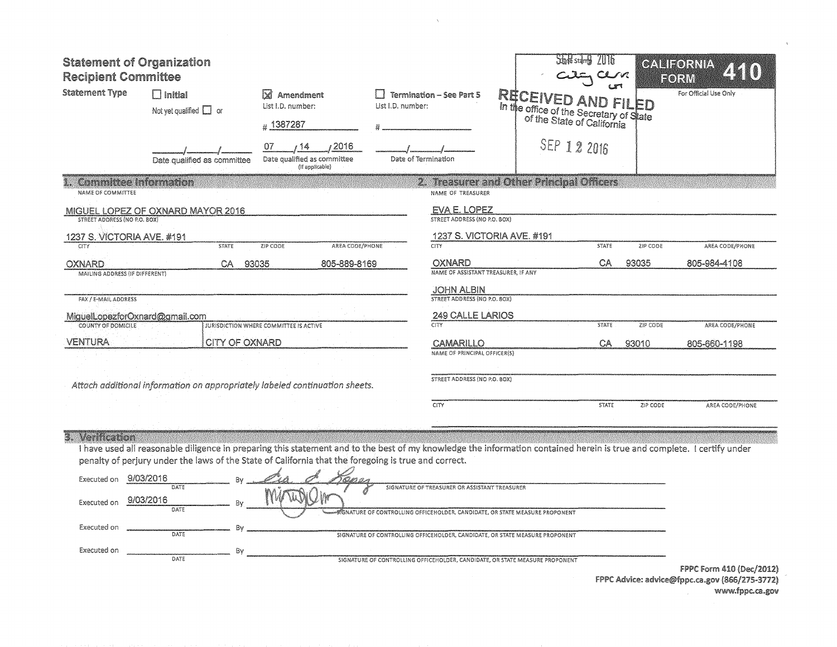| <b>Statement of Organization</b><br><b>Recipient Committee</b> |                                                                                                                                                                                                                                                                                 |                                                                      |                     |                                               |                                                                                          | $\Delta$ and $\Delta$ stain $\Delta$ |          | CALIFORNIA<br>FORM    |
|----------------------------------------------------------------|---------------------------------------------------------------------------------------------------------------------------------------------------------------------------------------------------------------------------------------------------------------------------------|----------------------------------------------------------------------|---------------------|-----------------------------------------------|------------------------------------------------------------------------------------------|--------------------------------------|----------|-----------------------|
| <b>Statement Type</b>                                          | $\Box$ Initial<br>Not yet qualified $\Box$ or                                                                                                                                                                                                                                   | $\boxtimes$ Amendment<br>List I.D. number:                           | List I.D. number:   | <b>Termination - See Part 5</b>               | <b>RECEIVED</b><br>in the office of the Secretary of State<br>of the State of California | AND FILED                            |          | For Official Use Only |
|                                                                |                                                                                                                                                                                                                                                                                 | #1387287                                                             |                     |                                               |                                                                                          |                                      |          |                       |
|                                                                | Date qualified as committee                                                                                                                                                                                                                                                     | /2016<br>07<br>-14<br>Date qualified as committee<br>(if applicable) | Date of Termination |                                               |                                                                                          | SEP 12 2016                          |          |                       |
| <b>Committee Information</b><br>NAME OF COMMITTEE              |                                                                                                                                                                                                                                                                                 |                                                                      |                     | NAME OF TREASURER                             | 2. Treasurer and Other Principal Officers                                                |                                      |          |                       |
| STREET ADDRESS (NO P.O. BOX)                                   | MIGUEL LOPEZ OF OXNARD MAYOR 2016                                                                                                                                                                                                                                               |                                                                      |                     | EVA E. LOPEZ<br>STREET ADDRESS (NO P.O. BOX)  |                                                                                          |                                      |          |                       |
| 1237 S. VICTORIA AVE. #191                                     |                                                                                                                                                                                                                                                                                 |                                                                      |                     |                                               | 1237 S. VICTORIA AVE. #191                                                               |                                      |          |                       |
| <b>CITY</b>                                                    | <b>STATE</b>                                                                                                                                                                                                                                                                    | ZIP CODE<br>AREA CODE/PHONE                                          |                     | <b>CITY</b>                                   |                                                                                          | <b>STATE</b>                         | ZIP CODE | AREA CODE/PHONE       |
| <b>OXNARD</b>                                                  | CA.<br>93035                                                                                                                                                                                                                                                                    | 805-889-8169                                                         |                     | OXNARD<br>NAME OF ASSISTANT TREASURER, IF ANY |                                                                                          | CA                                   | 93035    | 805-984-4108          |
| MAILING ADDRESS (IF DIFFERENT)                                 |                                                                                                                                                                                                                                                                                 |                                                                      |                     | <b>JOHN ALBIN</b>                             |                                                                                          |                                      |          |                       |
| FAX / E-MAIL ADDRESS                                           |                                                                                                                                                                                                                                                                                 |                                                                      |                     | STREET ADDRESS (NO P.O. BOX)                  |                                                                                          |                                      |          |                       |
| MiguelLopezforOxnard@gmail.com                                 |                                                                                                                                                                                                                                                                                 |                                                                      |                     | 249 CALLE LARIOS                              |                                                                                          |                                      |          |                       |
| <b>COUNTY OF DOMICILE</b>                                      |                                                                                                                                                                                                                                                                                 | JURISDICTION WHERE COMMITTEE IS ACTIVE                               |                     | <b>CITY</b>                                   |                                                                                          | <b>STATE</b>                         | ZIP CODE | AREA CODE/PHONE       |
| <b>VENTURA</b>                                                 | CITY OF OXNARD                                                                                                                                                                                                                                                                  |                                                                      |                     | CAMARILLO                                     |                                                                                          | CA                                   | 93010    | 805-660-1198          |
|                                                                |                                                                                                                                                                                                                                                                                 |                                                                      |                     | NAME OF PRINCIPAL OFFICER(S)                  |                                                                                          |                                      |          |                       |
|                                                                | Attach additional information on appropriately labeled continuation sheets.                                                                                                                                                                                                     |                                                                      |                     | STREET ADDRESS (NO P.O. BOX)                  |                                                                                          |                                      |          |                       |
|                                                                |                                                                                                                                                                                                                                                                                 |                                                                      |                     | CITY                                          |                                                                                          | <b>STATE</b>                         | ZIP CODE | AREA CODE/PHONE       |
| 3. Verification                                                | I have used all reasonable diligence in preparing this statement and to the best of my knowledge the information contained herein is true and complete. I certify under<br>penalty of perjury under the laws of the State of California that the foregoing is true and correct. |                                                                      |                     |                                               |                                                                                          |                                      |          |                       |
| Executed on                                                    | 9/03/2016                                                                                                                                                                                                                                                                       | いばかのよ                                                                |                     |                                               |                                                                                          |                                      |          |                       |
| Executed on                                                    | DATE<br>9/03/2016<br>Bv<br>DATE                                                                                                                                                                                                                                                 | W                                                                    |                     | SIGNATURE OF TREASURER OR ASSISTANT TREASURER | SIGNATURE OF CONTROLLING OFFICEHOLDER, CANDIDATE, OR STATE MEASURE PROPONENT             |                                      |          |                       |
|                                                                |                                                                                                                                                                                                                                                                                 |                                                                      |                     |                                               |                                                                                          |                                      |          |                       |

 $\bar{\chi}$ 

Executed on

Executed on DATE

**DATE** 

By

SIGNATURE OF CONTROLLING OFFICEHOLDER, CANDIDATE, OR STATE MEASURE PROPONENT

SIGNATURE OF CONTROLLING OFFICEHOLDER, CANDIDATE, OR STATE MEASURE PROPONENT

FPPC Form 410 (Dec/2012) FPPC Advice: advice@fppc.ca.gov (866/275-3772) www.fppc.ca.gov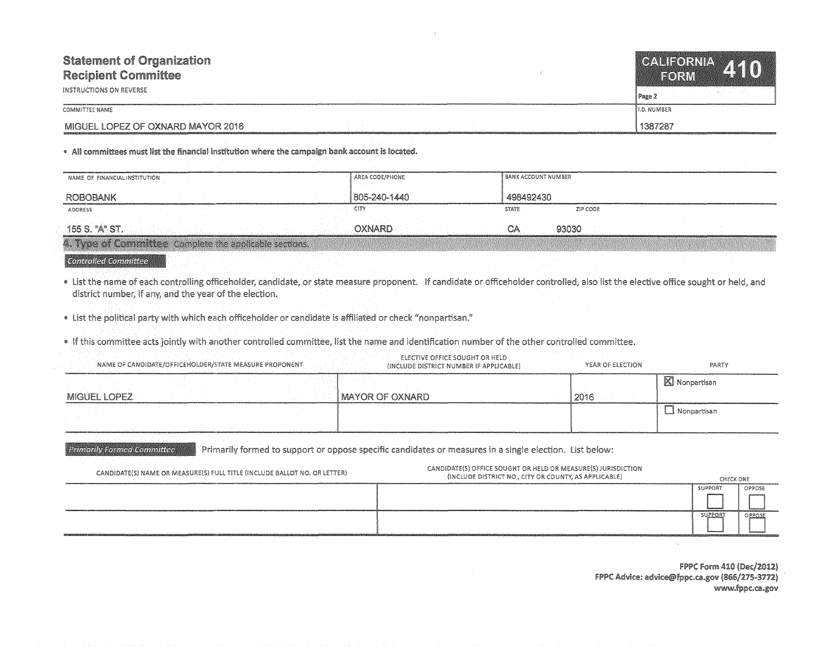| <b>Statement of Organization</b><br><b>Recipient Committee</b><br>INSTRUCTIONS ON REVERSE | CALIFORNIA AAA<br>EORM<br>Page 2 |
|-------------------------------------------------------------------------------------------|----------------------------------|
| COMMITTEE NAME                                                                            | 11.D. NUMBER                     |
| MIGUEL LOPEZ OF OXNARD MAYOR 2016                                                         | 1387287                          |

. All committees must list the financial institution where the campaign bank account is located.

| NAME OF FINANCIAL INSTITUTION                          | <b>AREA CODE/PHONE</b> | I BANK ACCOUNT NUMBER    |  |
|--------------------------------------------------------|------------------------|--------------------------|--|
| <b>ROBOBANK</b>                                        | 805-240-1440           | 498492430                |  |
| <b>ADDRESS</b>                                         | CITY                   | ZIP CODE<br><b>STATE</b> |  |
| 155 S. "A" ST.                                         | OXNARD                 | 93030                    |  |
| 4. Type of Committee Complete the applicable sections. |                        |                          |  |

## **Controlled Committee**

**Primarily Formed Committee** 

List the name of each controlling officeholder, candidate, or state measure proponent. If candidate or officeholder controlled, also list the elective office sought or held, and district number, if any, and the year of the election.

• List the political party with which each officeholder or candidate is affiliated or check "nonpartisan."

. If this committee acts jointly with another controlled committee, list the name and identification number of the other controlled committee.

| NAME OF CANDIDATE/OFFICEHOLDER/STATE MEASURE PROPONENT | ELECTIVE OFFICE SOUGHT OR HELD.<br>(INCLUDE DISTRICT NUMBER IF APPLICABLE) | YEAR OF ELECTION | PARTY               |
|--------------------------------------------------------|----------------------------------------------------------------------------|------------------|---------------------|
|                                                        |                                                                            |                  | Nonpartisan         |
| MIGUEL LOPEZ                                           | <b>I MAYOR OF OXNARD</b>                                                   | 2016             |                     |
|                                                        |                                                                            |                  | $\perp$ Nonpartisan |
|                                                        |                                                                            |                  |                     |

formed to support or oppose specific candidates or measures in a single election. List below:

| CANDIDATE(S) NAME OR MEASURE(S) FULL TITLE (INCLUDE BALLOT NO. OR LETTER) | CANDIDATE(S) OFFICE SOUGHT OR HELD OR MEASURE(S) JURISDICTION<br>(INCLUDE DISTRICT NO., CITY OR COUNTY, AS APPLICABLE) | CHECK ONE           |        |
|---------------------------------------------------------------------------|------------------------------------------------------------------------------------------------------------------------|---------------------|--------|
|                                                                           |                                                                                                                        | SUPPOR <sup>®</sup> | OPPOSE |
|                                                                           |                                                                                                                        |                     |        |
|                                                                           |                                                                                                                        | <b>IPPOR</b>        | OPPOSI |
|                                                                           |                                                                                                                        |                     |        |

FPPC Form 410 (Dec/2012) FPPC Advice: advice@fppc.ca.gov (866/275-3772) www.fppc.ca.gov